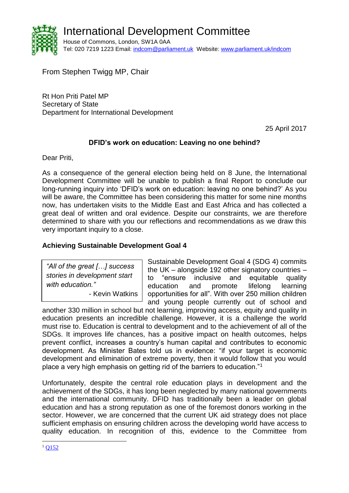

From Stephen Twigg MP, Chair

Rt Hon Priti Patel MP Secretary of State Department for International Development

25 April 2017

# **DFID's work on education: Leaving no one behind?**

Dear Priti,

As a consequence of the general election being held on 8 June, the International Development Committee will be unable to publish a final Report to conclude our long-running inquiry into 'DFID's work on education: leaving no one behind?' As you will be aware, the Committee has been considering this matter for some nine months now, has undertaken visits to the Middle East and East Africa and has collected a great deal of written and oral evidence. Despite our constraints, we are therefore determined to share with you our reflections and recommendations as we draw this very important inquiry to a close.

# **Achieving Sustainable Development Goal 4**

*"All of the great […] success stories in development start with education."* - Kevin Watkins

Sustainable Development Goal 4 (SDG 4) commits the UK – alongside 192 other signatory countries – to "ensure inclusive and equitable quality education and promote lifelong learning opportunities for all". With over 250 million children and young people currently out of school and

another 330 million in school but not learning, improving access, equity and quality in education presents an incredible challenge. However, it is a challenge the world must rise to. Education is central to development and to the achievement of all of the SDGs. It improves life chances, has a positive impact on health outcomes, helps prevent conflict, increases a country's human capital and contributes to economic development. As Minister Bates told us in evidence: "if your target is economic development and elimination of extreme poverty, then it would follow that you would place a very high emphasis on getting rid of the barriers to education."<sup>1</sup>

Unfortunately, despite the central role education plays in development and the achievement of the SDGs, it has long been neglected by many national governments and the international community. DFID has traditionally been a leader on global education and has a strong reputation as one of the foremost donors working in the sector. However, we are concerned that the current UK aid strategy does not place sufficient emphasis on ensuring children across the developing world have access to quality education. In recognition of this, evidence to the Committee from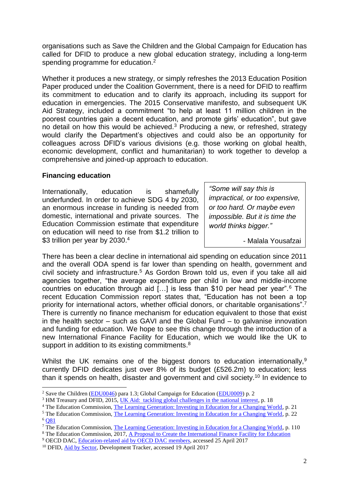organisations such as Save the Children and the Global Campaign for Education has called for DFID to produce a new global education strategy, including a long-term spending programme for education.<sup>2</sup>

Whether it produces a new strategy, or simply refreshes the 2013 Education Position Paper produced under the Coalition Government, there is a need for DFID to reaffirm its commitment to education and to clarify its approach, including its support for education in emergencies. The 2015 Conservative manifesto, and subsequent UK Aid Strategy, included a commitment "to help at least 11 million children in the poorest countries gain a decent education, and promote girls' education", but gave no detail on how this would be achieved.<sup>3</sup> Producing a new, or refreshed, strategy would clarify the Department's objectives and could also be an opportunity for colleagues across DFID's various divisions (e.g. those working on global health, economic development, conflict and humanitarian) to work together to develop a comprehensive and joined-up approach to education.

### **Financing education**

1

Internationally, education is shamefully underfunded. In order to achieve SDG 4 by 2030, an enormous increase in funding is needed from domestic, international and private sources. The Education Commission estimate that expenditure on education will need to rise from \$1.2 trillion to \$3 trillion per year by 2030.4

*"Some will say this is impractical, or too expensive, or too hard. Or maybe even impossible. But it is time the world thinks bigger."*

- Malala Yousafzai

There has been a clear decline in international aid spending on education since 2011 and the overall ODA spend is far lower than spending on health, government and civil society and infrastructure.<sup>5</sup> As Gordon Brown told us, even if you take all aid agencies together, "the average expenditure per child in low and middle-income countries on education through aid […] is less than \$10 per head per year".<sup>6</sup> The recent Education Commission report states that, "Education has not been a top priority for international actors, whether official donors, or charitable organisations".<sup>7</sup> There is currently no finance mechanism for education equivalent to those that exist in the health sector – such as GAVI and the Global Fund – to galvanise innovation and funding for education. We hope to see this change through the introduction of a new International Finance Facility for Education, which we would like the UK to support in addition to its existing commitments. $8$ 

Whilst the UK remains one of the biggest donors to education internationally,<sup>9</sup> currently DFID dedicates just over 8% of its budget (£526.2m) to education; less than it spends on health, disaster and government and civil society.<sup>10</sup> In evidence to

<sup>8</sup> The Education Commission, 2017, [A Proposal to Create the International Finance Facility for Education](http://educationcommission.org/wp-content/uploads/2017/03/IFFEd-Overview-4-17.pdf)

<sup>&</sup>lt;sup>2</sup> Save the Children [\(EDU0046\)](http://data.parliament.uk/writtenevidence/committeeevidence.svc/evidencedocument/international-development-committee/dfids-work-on-education-leaving-no-one-behind/written/38637.html) para 1.3; Global Campaign for Education [\(EDU0009\)](http://data.parliament.uk/writtenevidence/committeeevidence.svc/evidencedocument/international-development-committee/dfids-work-on-education-leaving-no-one-behind/written/38227.html) p. 2

<sup>&</sup>lt;sup>3</sup> HM Treasury and DFID, 2015[, UK Aid: tackling global challenges in the national interest,](https://www.gov.uk/government/uploads/system/uploads/attachment_data/file/478834/ODA_strategy_final_web_0905.pdf) p. 18

<sup>&</sup>lt;sup>4</sup> The Education Commission, [The Learning Generation: Investing in Education for a Changing World,](http://report.educationcommission.org/wp-content/uploads/2016/09/Learning_Generation_Full_Report.pdf) p. 21

<sup>&</sup>lt;sup>5</sup> The Education Commission, [The Learning Generation: Investing in Education for a Changing World,](http://report.educationcommission.org/wp-content/uploads/2016/09/Learning_Generation_Full_Report.pdf) p. 22 <sup>6</sup> O81

<sup>&</sup>lt;sup>7</sup> The Education Commission, [The Learning Generation: Investing in Education for a Changing World,](http://report.educationcommission.org/wp-content/uploads/2016/09/Learning_Generation_Full_Report.pdf) p. 110

<sup>9</sup> OECD DAC, [Education-related aid by OECD DAC members,](http://www.oecd.org/dac/stats/education-related-aid-data.htm) accessed 25 April 2017

<sup>10</sup> DFID, [Aid by Sector,](https://devtracker.dfid.gov.uk/sector) Development Tracker, accessed 19 April 2017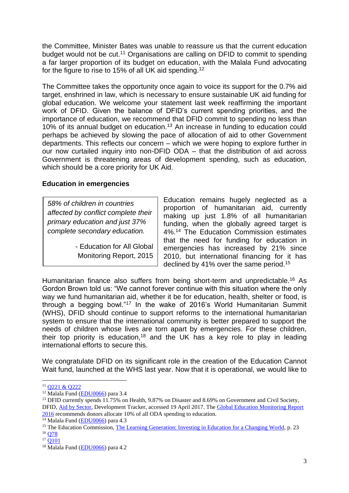the Committee, Minister Bates was unable to reassure us that the current education budget would not be cut.<sup>11</sup> Organisations are calling on DFID to commit to spending a far larger proportion of its budget on education, with the Malala Fund advocating for the figure to rise to 15% of all UK aid spending.<sup>12</sup>

The Committee takes the opportunity once again to voice its support for the 0.7% aid target, enshrined in law, which is necessary to ensure sustainable UK aid funding for global education. We welcome your statement last week reaffirming the important work of DFID. Given the balance of DFID's current spending priorities, and the importance of education, we recommend that DFID commit to spending no less than 10% of its annual budget on education.<sup>13</sup> An increase in funding to education could perhaps be achieved by slowing the pace of allocation of aid to other Government departments. This reflects our concern – which we were hoping to explore further in our now curtailed inquiry into non-DFID ODA – that the distribution of aid across Government is threatening areas of development spending, such as education, which should be a core priority for UK Aid.

### **Education in emergencies**

*58% of children in countries affected by conflict complete their primary education and just 37% complete secondary education.*

> - Education for All Global Monitoring Report, 2015

Education remains hugely neglected as a proportion of humanitarian aid, currently making up just 1.8% of all humanitarian funding, when the globally agreed target is 4%.<sup>14</sup> The Education Commission estimates that the need for funding for education in emergencies has increased by 21% since 2010, but international financing for it has declined by 41% over the same period.<sup>15</sup>

Humanitarian finance also suffers from being short-term and unpredictable.<sup>16</sup> As Gordon Brown told us: "We cannot forever continue with this situation where the only way we fund humanitarian aid, whether it be for education, health, shelter or food, is through a begging bowl."<sup>17</sup> In the wake of 2016's World Humanitarian Summit (WHS), DFID should continue to support reforms to the international humanitarian system to ensure that the international community is better prepared to support the needs of children whose lives are torn apart by emergencies. For these children, their top priority is education,<sup>18</sup> and the UK has a key role to play in leading international efforts to secure this.

We congratulate DFID on its significant role in the creation of the Education Cannot Wait fund, launched at the WHS last year. Now that it is operational, we would like to

1

<sup>11</sup> [Q221 & Q222](http://data.parliament.uk/writtenevidence/committeeevidence.svc/evidencedocument/international-development-committee/dfids-work-on-education-leaving-no-one-behind/oral/49579.html)

<sup>12</sup> Malala Fund [\(EDU0066\)](http://data.parliament.uk/writtenevidence/committeeevidence.svc/evidencedocument/international-development-committee/dfids-work-on-education-leaving-no-one-behind/written/46890.html) para 3.4

<sup>&</sup>lt;sup>13</sup> DFID currently spends 11.75% on Health, 9.87% on Disaster and 8.69% on Government and Civil Society, DFID, [Aid by Sector,](https://devtracker.dfid.gov.uk/sector) Development Tracker, accessed 19 April 2017. The [Global Education Monitoring Report](http://unesdoc.unesco.org/images/0024/002457/245752e.pdf)  [2016](http://unesdoc.unesco.org/images/0024/002457/245752e.pdf) recommends donors allocate 10% of all ODA spending to education.

 $\frac{14 \text{ Malala}}{14 \text{ Malala}}$  Fund [\(EDU0066\)](http://data.parliament.uk/writtenevidence/committeeevidence.svc/evidencedocument/international-development-committee/dfids-work-on-education-leaving-no-one-behind/written/46890.html) para 4.3

<sup>&</sup>lt;sup>15</sup> The Education Commission, [The Learning Generation: Investing in Education for a Changing World,](http://report.educationcommission.org/wp-content/uploads/2016/09/Learning_Generation_Full_Report.pdf) p. 23

 $16$  Q7 $8$ 

 $17 \overline{0101}$ 

<sup>18</sup> Malala Fund [\(EDU0066\)](http://data.parliament.uk/writtenevidence/committeeevidence.svc/evidencedocument/international-development-committee/dfids-work-on-education-leaving-no-one-behind/written/46890.html) para 4.2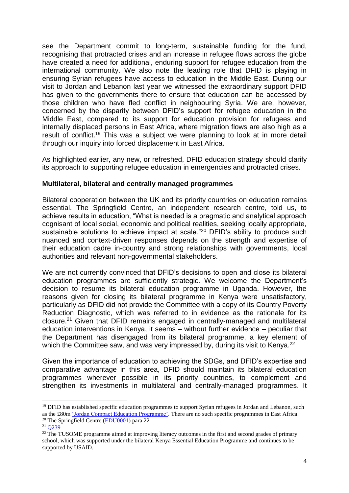see the Department commit to long-term, sustainable funding for the fund, recognising that protracted crises and an increase in refugee flows across the globe have created a need for additional, enduring support for refugee education from the international community. We also note the leading role that DFID is playing in ensuring Syrian refugees have access to education in the Middle East. During our visit to Jordan and Lebanon last year we witnessed the extraordinary support DFID has given to the governments there to ensure that education can be accessed by those children who have fled conflict in neighbouring Syria. We are, however, concerned by the disparity between DFID's support for refugee education in the Middle East, compared to its support for education provision for refugees and internally displaced persons in East Africa, where migration flows are also high as a result of conflict.<sup>19</sup> This was a subject we were planning to look at in more detail through our inquiry into forced displacement in East Africa.

As highlighted earlier, any new, or refreshed, DFID education strategy should clarify its approach to supporting refugee education in emergencies and protracted crises.

#### **Multilateral, bilateral and centrally managed programmes**

Bilateral cooperation between the UK and its priority countries on education remains essential. The Springfield Centre, an independent research centre, told us, to achieve results in education, "What is needed is a pragmatic and analytical approach cognisant of local social, economic and political realities, seeking locally appropriate, sustainable solutions to achieve impact at scale."<sup>20</sup> DFID's ability to produce such nuanced and context-driven responses depends on the strength and expertise of their education cadre in-country and strong relationships with governments, local authorities and relevant non-governmental stakeholders.

We are not currently convinced that DFID's decisions to open and close its bilateral education programmes are sufficiently strategic. We welcome the Department's decision to resume its bilateral education programme in Uganda. However, the reasons given for closing its bilateral programme in Kenya were unsatisfactory, particularly as DFID did not provide the Committee with a copy of its Country Poverty Reduction Diagnostic, which was referred to in evidence as the rationale for its closure.<sup>21</sup> Given that DFID remains engaged in centrally-managed and multilateral education interventions in Kenya, it seems – without further evidence – peculiar that the Department has disengaged from its bilateral programme, a key element of which the Committee saw, and was very impressed by, during its visit to Kenya.<sup>22</sup>

Given the importance of education to achieving the SDGs, and DFID's expertise and comparative advantage in this area, DFID should maintain its bilateral education programmes wherever possible in its priority countries, to complement and strengthen its investments in multilateral and centrally-managed programmes. It

<sup>&</sup>lt;sup>19</sup> DFID has established specific education programmes to support Syrian refugees in Jordan and Lebanon, such as the £80m ['Jordan Compact Education Programme'.](https://devtracker.dfid.gov.uk/projects/GB-1-205200) There are no such specific programmes in East Africa.

<sup>20</sup> The Springfield Centre [\(EDU0001\)](http://data.parliament.uk/writtenevidence/committeeevidence.svc/evidencedocument/international-development-committee/dfids-work-on-education-leaving-no-one-behind/written/35986.html) para 22

 $21$  O239

 $22$  The TUSOME programme aimed at improving literacy outcomes in the first and second grades of primary school, which was supported under the bilateral Kenya Essential Education Programme and continues to be supported by USAID.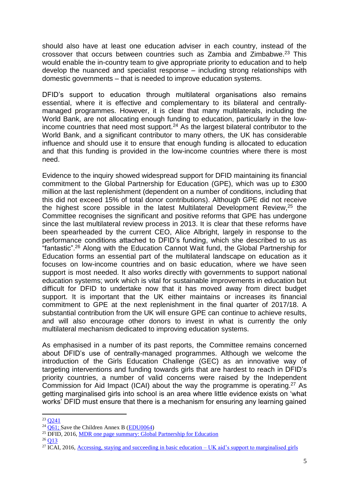should also have at least one education adviser in each country, instead of the crossover that occurs between countries such as Zambia and Zimbabwe.<sup>23</sup> This would enable the in-country team to give appropriate priority to education and to help develop the nuanced and specialist response – including strong relationships with domestic governments – that is needed to improve education systems.

DFID's support to education through multilateral organisations also remains essential, where it is effective and complementary to its bilateral and centrallymanaged programmes. However, it is clear that many multilaterals, including the World Bank, are not allocating enough funding to education, particularly in the lowincome countries that need most support.<sup>24</sup> As the largest bilateral contributor to the World Bank, and a significant contributor to many others, the UK has considerable influence and should use it to ensure that enough funding is allocated to education and that this funding is provided in the low-income countries where there is most need.

Evidence to the inquiry showed widespread support for DFID maintaining its financial commitment to the Global Partnership for Education (GPE), which was up to £300 million at the last replenishment (dependent on a number of conditions, including that this did not exceed 15% of total donor contributions). Although GPE did not receive the highest score possible in the latest Multilateral Development Review, <sup>25</sup> the Committee recognises the significant and positive reforms that GPE has undergone since the last multilateral review process in 2013. It is clear that these reforms have been spearheaded by the current CEO, Alice Albright, largely in response to the performance conditions attached to DFID's funding, which she described to us as "fantastic". <sup>26</sup> Along with the Education Cannot Wait fund, the Global Partnership for Education forms an essential part of the multilateral landscape on education as it focuses on low-income countries and on basic education, where we have seen support is most needed. It also works directly with governments to support national education systems; work which is vital for sustainable improvements in education but difficult for DFID to undertake now that it has moved away from direct budget support. It is important that the UK either maintains or increases its financial commitment to GPE at the next replenishment in the final quarter of 2017/18. A substantial contribution from the UK will ensure GPE can continue to achieve results, and will also encourage other donors to invest in what is currently the only multilateral mechanism dedicated to improving education systems.

As emphasised in a number of its past reports, the Committee remains concerned about DFID's use of centrally-managed programmes. Although we welcome the introduction of the Girls Education Challenge (GEC) as an innovative way of targeting interventions and funding towards girls that are hardest to reach in DFID's priority countries, a number of valid concerns were raised by the Independent Commission for Aid Impact (ICAI) about the way the programme is operating.<sup>27</sup> As getting marginalised girls into school is an area where little evidence exists on 'what works' DFID must ensure that there is a mechanism for ensuring any learning gained

<sup>-</sup> $23 \text{ O}241$ 

 $24\overline{O61}$ : Save the Children Annex B [\(EDU0064\)](http://data.parliament.uk/writtenevidence/committeeevidence.svc/evidencedocument/international-development-committee/dfids-work-on-education-leaving-no-one-behind/written/45504.html)

 $25$  DFID, 2016, [MDR one page summary: Global Partnership for Education](https://www.gov.uk/government/uploads/system/uploads/attachment_data/file/573459/Global-Partnership-Education-Review.pdf)

 $26$  [Q13](http://data.parliament.uk/writtenevidence/committeeevidence.svc/evidencedocument/international-development-committee/dfids-work-on-education-leaving-no-one-behind/oral/42656.html)

<sup>&</sup>lt;sup>27</sup> ICAI, 2016[, Accessing, staying and succeeding in basic education –](http://icai.independent.gov.uk/report/marginalised-girls/) UK aid's support to marginalised girls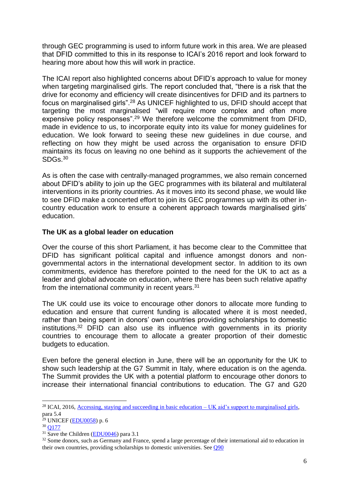through GEC programming is used to inform future work in this area. We are pleased that DFID committed to this in its response to ICAI's 2016 report and look forward to hearing more about how this will work in practice.

The ICAI report also highlighted concerns about DFID's approach to value for money when targeting marginalised girls. The report concluded that, "there is a risk that the drive for economy and efficiency will create disincentives for DFID and its partners to focus on marginalised girls".<sup>28</sup> As UNICEF highlighted to us, DFID should accept that targeting the most marginalised "will require more complex and often more expensive policy responses".<sup>29</sup> We therefore welcome the commitment from DFID. made in evidence to us, to incorporate equity into its value for money guidelines for education. We look forward to seeing these new guidelines in due course, and reflecting on how they might be used across the organisation to ensure DFID maintains its focus on leaving no one behind as it supports the achievement of the SDGs. 30

As is often the case with centrally-managed programmes, we also remain concerned about DFID's ability to join up the GEC programmes with its bilateral and multilateral interventions in its priority countries. As it moves into its second phase, we would like to see DFID make a concerted effort to join its GEC programmes up with its other incountry education work to ensure a coherent approach towards marginalised girls' education.

# **The UK as a global leader on education**

Over the course of this short Parliament, it has become clear to the Committee that DFID has significant political capital and influence amongst donors and nongovernmental actors in the international development sector. In addition to its own commitments, evidence has therefore pointed to the need for the UK to act as a leader and global advocate on education, where there has been such relative apathy from the international community in recent years.<sup>31</sup>

The UK could use its voice to encourage other donors to allocate more funding to education and ensure that current funding is allocated where it is most needed, rather than being spent in donors' own countries providing scholarships to domestic institutions. <sup>32</sup> DFID can also use its influence with governments in its priority countries to encourage them to allocate a greater proportion of their domestic budgets to education.

Even before the general election in June, there will be an opportunity for the UK to show such leadership at the G7 Summit in Italy, where education is on the agenda. The Summit provides the UK with a potential platform to encourage other donors to increase their international financial contributions to education. The G7 and G20

<sup>&</sup>lt;sup>28</sup> ICAI, 2016[, Accessing, staying and succeeding in basic education –](http://icai.independent.gov.uk/report/marginalised-girls/) UK aid's support to marginalised girls, para 5.4

 $29$  UNICEF (**EDU0058**) p. 6

<sup>30</sup> [Q177](http://data.parliament.uk/writtenevidence/committeeevidence.svc/evidencedocument/international-development-committee/dfids-work-on-education-leaving-no-one-behind/oral/46531.html)

 $31$  Save the Children [\(EDU0046\)](http://data.parliament.uk/writtenevidence/committeeevidence.svc/evidencedocument/international-development-committee/dfids-work-on-education-leaving-no-one-behind/written/38637.html) para 3.1

<sup>&</sup>lt;sup>32</sup> Some donors, such as Germany and France, spend a large percentage of their international aid to education in their own countries, providing scholarships to domestic universities. See [Q90](http://data.parliament.uk/writtenevidence/committeeevidence.svc/evidencedocument/international-development-committee/dfids-work-on-education-leaving-no-one-behind/oral/46366.html)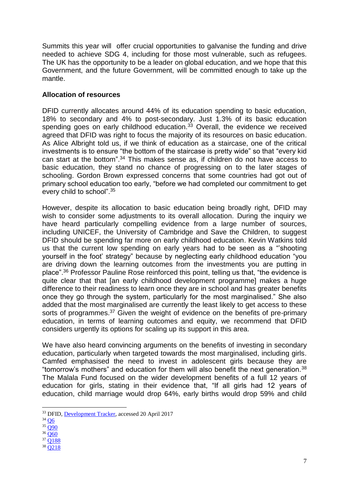Summits this year will offer crucial opportunities to galvanise the funding and drive needed to achieve SDG 4, including for those most vulnerable, such as refugees. The UK has the opportunity to be a leader on global education, and we hope that this Government, and the future Government, will be committed enough to take up the mantle.

## **Allocation of resources**

DFID currently allocates around 44% of its education spending to basic education, 18% to secondary and 4% to post-secondary. Just 1.3% of its basic education spending goes on early childhood education. $33$  Overall, the evidence we received agreed that DFID was right to focus the majority of its resources on basic education. As Alice Albright told us, if we think of education as a staircase, one of the critical investments is to ensure "the bottom of the staircase is pretty wide" so that "every kid can start at the bottom". <sup>34</sup> This makes sense as, if children do not have access to basic education, they stand no chance of progressing on to the later stages of schooling. Gordon Brown expressed concerns that some countries had got out of primary school education too early, "before we had completed our commitment to get every child to school".<sup>35</sup>

However, despite its allocation to basic education being broadly right, DFID may wish to consider some adjustments to its overall allocation. During the inquiry we have heard particularly compelling evidence from a large number of sources, including UNICEF, the University of Cambridge and Save the Children, to suggest DFID should be spending far more on early childhood education. Kevin Watkins told us that the current low spending on early years had to be seen as a "'shooting yourself in the foot' strategy" because by neglecting early childhood education "you are driving down the learning outcomes from the investments you are putting in place".<sup>36</sup> Professor Pauline Rose reinforced this point, telling us that, "the evidence is quite clear that that [an early childhood development programme] makes a huge difference to their readiness to learn once they are in school and has greater benefits once they go through the system, particularly for the most marginalised." She also added that the most marginalised are currently the least likely to get access to these sorts of programmes.<sup>37</sup> Given the weight of evidence on the benefits of pre-primary education, in terms of learning outcomes and equity, we recommend that DFID considers urgently its options for scaling up its support in this area.

We have also heard convincing arguments on the benefits of investing in secondary education, particularly when targeted towards the most marginalised, including girls. Camfed emphasised the need to invest in adolescent girls because they are "tomorrow's mothers" and education for them will also benefit the next generation.<sup>38</sup> The Malala Fund focused on the wider development benefits of a full 12 years of education for girls, stating in their evidence that, "If all girls had 12 years of education, child marriage would drop 64%, early births would drop 59% and child

1

<sup>38</sup> [Q218](http://data.parliament.uk/writtenevidence/committeeevidence.svc/evidencedocument/international-development-committee/dfids-work-on-education-leaving-no-one-behind/oral/47513.html)

<sup>33</sup> DFID, [Development Tracker,](https://devtracker.dfid.gov.uk/sector/1) accessed 20 April 2017

 $34$  O<sub>2</sub>

 $35 \overline{O}90$ 

 $36 \overline{O60}$ 

<sup>37</sup> [Q188](http://data.parliament.uk/writtenevidence/committeeevidence.svc/evidencedocument/international-development-committee/dfids-work-on-education-leaving-no-one-behind/oral/47513.html)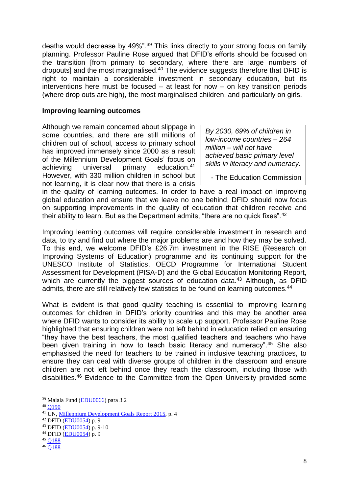deaths would decrease by 49%".<sup>39</sup> This links directly to your strong focus on family planning. Professor Pauline Rose argued that DFID's efforts should be focused on the transition [from primary to secondary, where there are large numbers of dropouts] and the most marginalised.<sup>40</sup> The evidence suggests therefore that DFID is right to maintain a considerable investment in secondary education, but its interventions here must be focused – at least for now – on key transition periods (where drop outs are high), the most marginalised children, and particularly on girls.

#### **Improving learning outcomes**

Although we remain concerned about slippage in some countries, and there are still millions of children out of school, access to primary school has improved immensely since 2000 as a result of the Millennium Development Goals' focus on achieving universal primary education.<sup>41</sup> However, with 330 million children in school but not learning, it is clear now that there is a crisis

*By 2030, 69% of children in low-income countries – 264 million – will not have achieved basic primary level skills in literacy and numeracy.*

- The Education Commission

in the quality of learning outcomes. In order to have a real impact on improving global education and ensure that we leave no one behind, DFID should now focus on supporting improvements in the quality of education that children receive and their ability to learn. But as the Department admits, "there are no quick fixes".<sup>42</sup>

Improving learning outcomes will require considerable investment in research and data, to try and find out where the major problems are and how they may be solved. To this end, we welcome DFID's £26.7m investment in the RISE (Research on Improving Systems of Education) programme and its continuing support for the UNESCO Institute of Statistics, OECD Programme for International Student Assessment for Development (PISA-D) and the Global Education Monitoring Report, which are currently the biggest sources of education data.<sup>43</sup> Although, as DFID admits, there are still relatively few statistics to be found on learning outcomes.<sup>44</sup>

What is evident is that good quality teaching is essential to improving learning outcomes for children in DFID's priority countries and this may be another area where DFID wants to consider its ability to scale up support. Professor Pauline Rose highlighted that ensuring children were not left behind in education relied on ensuring "they have the best teachers, the most qualified teachers and teachers who have been given training in how to teach basic literacy and numeracy".<sup>45</sup> She also emphasised the need for teachers to be trained in inclusive teaching practices, to ensure they can deal with diverse groups of children in the classroom and ensure children are not left behind once they reach the classroom, including those with disabilities.<sup>46</sup> Evidence to the Committee from the Open University provided some

<sup>39</sup> Malala Fund [\(EDU0066\)](http://data.parliament.uk/writtenevidence/committeeevidence.svc/evidencedocument/international-development-committee/dfids-work-on-education-leaving-no-one-behind/written/46890.html) para 3.2

<sup>40</sup> [Q190](http://data.parliament.uk/writtenevidence/committeeevidence.svc/evidencedocument/international-development-committee/dfids-work-on-education-leaving-no-one-behind/oral/47513.html)

<sup>41</sup> UN, [Millennium Development Goals Report 2015,](http://www.un.org/millenniumgoals/2015_MDG_Report/pdf/MDG%202015%20rev%20(July%201).pdf) p. 4

<sup>42</sup> DFID [\(EDU0054\)](http://data.parliament.uk/writtenevidence/committeeevidence.svc/evidencedocument/international-development-committee/dfids-work-on-education-leaving-no-one-behind/written/40132.html) p. 9

<sup>43</sup> DFID [\(EDU0054\)](http://data.parliament.uk/writtenevidence/committeeevidence.svc/evidencedocument/international-development-committee/dfids-work-on-education-leaving-no-one-behind/written/40132.html) p. 9-10

<sup>44</sup> DFID [\(EDU0054\)](http://data.parliament.uk/writtenevidence/committeeevidence.svc/evidencedocument/international-development-committee/dfids-work-on-education-leaving-no-one-behind/written/40132.html) p. 9

<sup>45</sup> [Q188](http://data.parliament.uk/writtenevidence/committeeevidence.svc/evidencedocument/international-development-committee/dfids-work-on-education-leaving-no-one-behind/oral/47513.html)

<sup>46</sup> [Q188](http://data.parliament.uk/writtenevidence/committeeevidence.svc/evidencedocument/international-development-committee/dfids-work-on-education-leaving-no-one-behind/oral/47513.html)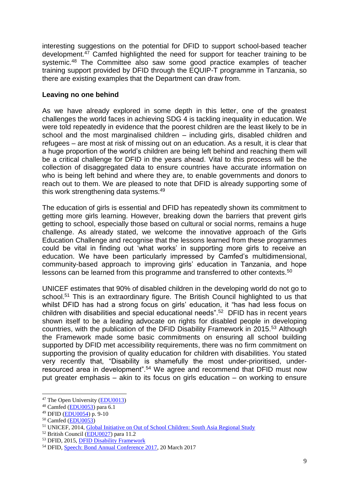interesting suggestions on the potential for DFID to support school-based teacher development.<sup>47</sup> Camfed highlighted the need for support for teacher training to be systemic.<sup>48</sup> The Committee also saw some good practice examples of teacher training support provided by DFID through the EQUIP-T programme in Tanzania, so there are existing examples that the Department can draw from.

## **Leaving no one behind**

As we have already explored in some depth in this letter, one of the greatest challenges the world faces in achieving SDG 4 is tackling inequality in education. We were told repeatedly in evidence that the poorest children are the least likely to be in school and the most marginalised children – including girls, disabled children and refugees – are most at risk of missing out on an education. As a result, it is clear that a huge proportion of the world's children are being left behind and reaching them will be a critical challenge for DFID in the years ahead. Vital to this process will be the collection of disaggregated data to ensure countries have accurate information on who is being left behind and where they are, to enable governments and donors to reach out to them. We are pleased to note that DFID is already supporting some of this work strengthening data systems.<sup>49</sup>

The education of girls is essential and DFID has repeatedly shown its commitment to getting more girls learning. However, breaking down the barriers that prevent girls getting to school, especially those based on cultural or social norms, remains a huge challenge. As already stated, we welcome the innovative approach of the Girls Education Challenge and recognise that the lessons learned from these programmes could be vital in finding out 'what works' in supporting more girls to receive an education. We have been particularly impressed by Camfed's multidimensional, community-based approach to improving girls' education in Tanzania, and hope lessons can be learned from this programme and transferred to other contexts.<sup>50</sup>

UNICEF estimates that 90% of disabled children in the developing world do not go to school.<sup>51</sup> This is an extraordinary figure. The British Council highlighted to us that whilst DFID has had a strong focus on girls' education, it "has had less focus on children with disabilities and special educational needs".<sup>52</sup> DFID has in recent years shown itself to be a leading advocate on rights for disabled people in developing countries, with the publication of the DFID Disability Framework in 2015.<sup>53</sup> Although the Framework made some basic commitments on ensuring all school building supported by DFID met accessibility requirements, there was no firm commitment on supporting the provision of quality education for children with disabilities. You stated very recently that, "Disability is shamefully the most under-prioritised, underresourced area in development".<sup>54</sup> We agree and recommend that DFID must now put greater emphasis – akin to its focus on girls education – on working to ensure

<sup>47</sup> The Open University [\(EDU0013\)](http://data.parliament.uk/writtenevidence/committeeevidence.svc/evidencedocument/international-development-committee/dfids-work-on-education-leaving-no-one-behind/written/38309.html)

<sup>48</sup> Camfed [\(EDU0053\)](http://data.parliament.uk/writtenevidence/committeeevidence.svc/evidencedocument/international-development-committee/dfids-work-on-education-leaving-no-one-behind/written/40131.html) para 6.1

<sup>49</sup> DFID [\(EDU0054\)](http://data.parliament.uk/writtenevidence/committeeevidence.svc/evidencedocument/international-development-committee/dfids-work-on-education-leaving-no-one-behind/written/40132.html) p. 9-10

 $50$  Camfed [\(EDU0053\)](http://data.parliament.uk/writtenevidence/committeeevidence.svc/evidencedocument/international-development-committee/dfids-work-on-education-leaving-no-one-behind/written/40131.html)

<sup>&</sup>lt;sup>51</sup> UNICEF, 2014, [Global Initiative on Out of School Children: South Asia Regional Study](https://www.unicef.org/education/files/SouthAsia_OOSCI_Study__Executive_Summary_26Jan_14Final.pdf)

<sup>52</sup> British Council [\(EDU0027\)](http://data.parliament.uk/writtenevidence/committeeevidence.svc/evidencedocument/international-development-committee/dfids-work-on-education-leaving-no-one-behind/written/38360.pdf) para 11.2

<sup>53</sup> DFID, 2015, [DFID Disability Framework](https://www.gov.uk/government/uploads/system/uploads/attachment_data/file/554802/DFID-Disability-Framework-2015.pdf)

<sup>54</sup> DFID, [Speech: Bond Annual Conference 2017,](https://www.gov.uk/government/speeches/bond-annual-conference-2017) 20 March 2017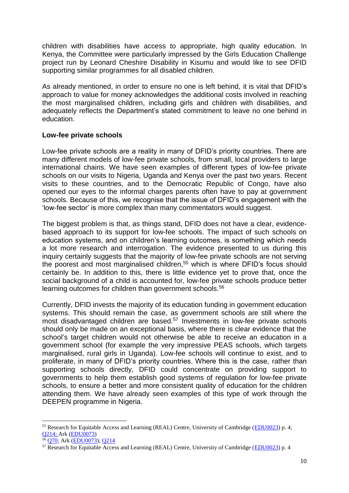children with disabilities have access to appropriate, high quality education. In Kenya, the Committee were particularly impressed by the Girls Education Challenge project run by Leonard Cheshire Disability in Kisumu and would like to see DFID supporting similar programmes for all disabled children.

As already mentioned, in order to ensure no one is left behind, it is vital that DFID's approach to value for money acknowledges the additional costs involved in reaching the most marginalised children, including girls and children with disabilities, and adequately reflects the Department's stated commitment to leave no one behind in education.

### **Low-fee private schools**

Low-fee private schools are a reality in many of DFID's priority countries. There are many different models of low-fee private schools, from small, local providers to large international chains. We have seen examples of different types of low-fee private schools on our visits to Nigeria, Uganda and Kenya over the past two years. Recent visits to these countries, and to the Democratic Republic of Congo, have also opened our eyes to the informal charges parents often have to pay at government schools. Because of this, we recognise that the issue of DFID's engagement with the 'low-fee sector' is more complex than many commentators would suggest.

The biggest problem is that, as things stand, DFID does not have a clear, evidencebased approach to its support for low-fee schools. The impact of such schools on education systems, and on children's learning outcomes, is something which needs a lot more research and interrogation. The evidence presented to us during this inquiry certainly suggests that the majority of low-fee private schools are not serving the poorest and most marginalised children,<sup>55</sup> which is where DFID's focus should certainly be. In addition to this, there is little evidence yet to prove that, once the social background of a child is accounted for, low-fee private schools produce better learning outcomes for children than government schools.<sup>56</sup>

Currently, DFID invests the majority of its education funding in government education systems. This should remain the case, as government schools are still where the most disadvantaged children are based.<sup>57</sup> Investments in low-fee private schools should only be made on an exceptional basis, where there is clear evidence that the school's target children would not otherwise be able to receive an education in a government school (for example the very impressive PEAS schools, which targets marginalised, rural girls in Uganda). Low-fee schools will continue to exist, and to proliferate, in many of DFID's priority countries. Where this is the case, rather than supporting schools directly, DFID could concentrate on providing support to governments to help them establish good systems of regulation for low-fee private schools, to ensure a better and more consistent quality of education for the children attending them. We have already seen examples of this type of work through the DEEPEN programme in Nigeria.

1

<sup>55</sup> Research for Equitable Access and Learning (REAL) Centre, University of Cambridge [\(EDU0023\)](http://data.parliament.uk/writtenevidence/committeeevidence.svc/evidencedocument/international-development-committee/dfids-work-on-education-leaving-no-one-behind/written/38349.html) p. 4; [Q214;](http://data.parliament.uk/writtenevidence/committeeevidence.svc/evidencedocument/international-development-committee/dfids-work-on-education-leaving-no-one-behind/oral/47513.html) Ark [\(EDU0073\)](http://data.parliament.uk/writtenevidence/committeeevidence.svc/evidencedocument/international-development-committee/dfids-work-on-education-leaving-no-one-behind/written/69083.html)

<sup>56</sup> [Q70;](http://data.parliament.uk/writtenevidence/committeeevidence.svc/evidencedocument/international-development-committee/dfids-work-on-education-leaving-no-one-behind/oral/45291.html) Ark [\(EDU0073\)](http://data.parliament.uk/writtenevidence/committeeevidence.svc/evidencedocument/international-development-committee/dfids-work-on-education-leaving-no-one-behind/written/69083.html); [Q214](http://data.parliament.uk/writtenevidence/committeeevidence.svc/evidencedocument/international-development-committee/dfids-work-on-education-leaving-no-one-behind/oral/47513.html)

<sup>57</sup> Research for Equitable Access and Learning (REAL) Centre, University of Cambridge [\(EDU0023\)](http://data.parliament.uk/writtenevidence/committeeevidence.svc/evidencedocument/international-development-committee/dfids-work-on-education-leaving-no-one-behind/written/38349.html) p. 4